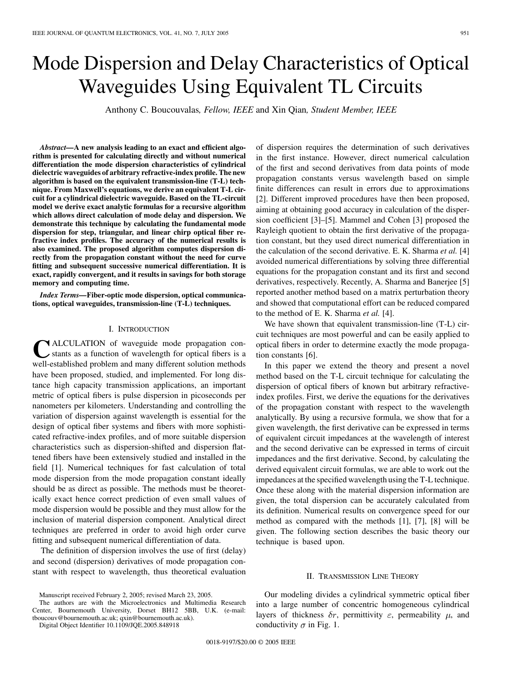# Mode Dispersion and Delay Characteristics of Optical Waveguides Using Equivalent TL Circuits

Anthony C. Boucouvalas*, Fellow, IEEE* and Xin Qian*, Student Member, IEEE*

*Abstract—***A new analysis leading to an exact and efficient algorithm is presented for calculating directly and without numerical differentiation the mode dispersion characteristics of cylindrical dielectric waveguides of arbitrary refractive-index profile. The new algorithm is based on the equivalent transmission-line (T-L) technique. From Maxwell's equations, we derive an equivalent T-L circuit for a cylindrical dielectric waveguide. Based on the TL-circuit model we derive exact analytic formulas for a recursive algorithm which allows direct calculation of mode delay and dispersion. We demonstrate this technique by calculating the fundamental mode dispersion for step, triangular, and linear chirp optical fiber refractive index profiles. The accuracy of the numerical results is also examined. The proposed algorithm computes dispersion directly from the propagation constant without the need for curve fitting and subsequent successive numerical differentiation. It is exact, rapidly convergent, and it results in savings for both storage memory and computing time.**

*Index Terms—***Fiber-optic mode dispersion, optical communications, optical waveguides, transmission-line (T-L) techniques.**

## I. INTRODUCTION

**CALCULATION** of waveguide mode propagation constants as a function of wavelength for optical fibers is a well-established problem and many different solution methods have been proposed, studied, and implemented. For long distance high capacity transmission applications, an important metric of optical fibers is pulse dispersion in picoseconds per nanometers per kilometers. Understanding and controlling the variation of dispersion against wavelength is essential for the design of optical fiber systems and fibers with more sophisticated refractive-index profiles, and of more suitable dispersion characteristics such as dispersion-shifted and dispersion flattened fibers have been extensively studied and installed in the field [\[1](#page-6-0)]. Numerical techniques for fast calculation of total mode dispersion from the mode propagation constant ideally should be as direct as possible. The methods must be theoretically exact hence correct prediction of even small values of mode dispersion would be possible and they must allow for the inclusion of material dispersion component. Analytical direct techniques are preferred in order to avoid high order curve fitting and subsequent numerical differentiation of data.

The definition of dispersion involves the use of first (delay) and second (dispersion) derivatives of mode propagation constant with respect to wavelength, thus theoretical evaluation

Manuscript received February 2, 2005; revised March 23, 2005.

The authors are with the Microelectronics and Multimedia Research Center, Bournemouth University, Dorset BH12 5BB, U.K. (e-mail: tboucouv@bournemouth.ac.uk; qxin@bournemouth.ac.uk).

Digital Object Identifier 10.1109/JQE.2005.848918

of dispersion requires the determination of such derivatives in the first instance. However, direct numerical calculation of the first and second derivatives from data points of mode propagation constants versus wavelength based on simple finite differences can result in errors due to approximations [\[2](#page-6-0)]. Different improved procedures have then been proposed, aiming at obtaining good accuracy in calculation of the dispersion coefficient [\[3](#page-6-0)]–[[5\]](#page-6-0). Mammel and Cohen [[3\]](#page-6-0) proposed the Rayleigh quotient to obtain the first derivative of the propagation constant, but they used direct numerical differentiation in the calculation of the second derivative. E. K. Sharma *et al.* [[4\]](#page-6-0) avoided numerical differentiations by solving three differential equations for the propagation constant and its first and second derivatives, respectively. Recently, A. Sharma and Banerjee [[5\]](#page-6-0) reported another method based on a matrix perturbation theory and showed that computational effort can be reduced compared to the method of E. K. Sharma *et al.* [\[4](#page-6-0)].

We have shown that equivalent transmission-line (T-L) circuit techniques are most powerful and can be easily applied to optical fibers in order to determine exactly the mode propagation constants [[6\]](#page-6-0).

In this paper we extend the theory and present a novel method based on the T-L circuit technique for calculating the dispersion of optical fibers of known but arbitrary refractiveindex profiles. First, we derive the equations for the derivatives of the propagation constant with respect to the wavelength analytically. By using a recursive formula, we show that for a given wavelength, the first derivative can be expressed in terms of equivalent circuit impedances at the wavelength of interest and the second derivative can be expressed in terms of circuit impedances and the first derivative. Second, by calculating the derived equivalent circuit formulas, we are able to work out the impedances at the specified wavelength using the T-L technique. Once these along with the material dispersion information are given, the total dispersion can be accurately calculated from its definition. Numerical results on convergence speed for our method as compared with the methods [[1\]](#page-6-0), [\[7](#page-6-0)], [[8\]](#page-6-0) will be given. The following section describes the basic theory our technique is based upon.

#### II. TRANSMISSION LINE THEORY

Our modeling divides a cylindrical symmetric optical fiber into a large number of concentric homogeneous cylindrical layers of thickness  $\delta r$ , permittivity  $\varepsilon$ , permeability  $\mu$ , and conductivity  $\sigma$  in Fig. 1.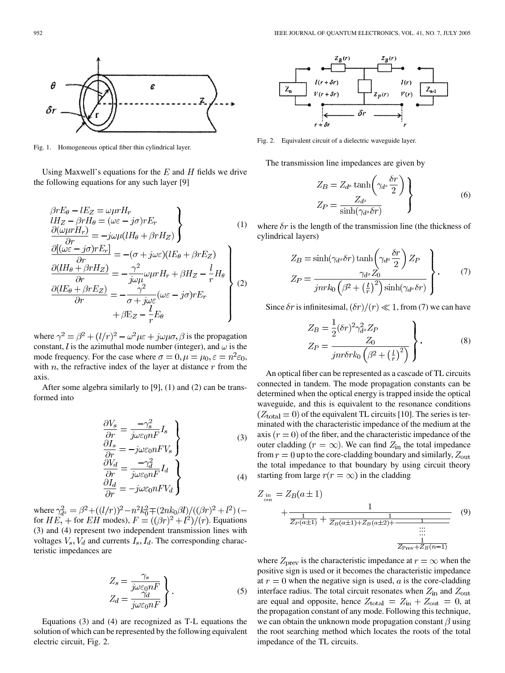

Fig. 1. Homogeneous optical fiber thin cylindrical layer.

Using Maxwell's equations for the  $E$  and  $H$  fields we drive the following equations for any such layer [\[9](#page-6-0)]

$$
\beta r E_{\theta} - l E_{Z} = \omega \mu r H_{r}
$$
\n
$$
l H_{Z} - \beta r H_{\theta} = (\omega \varepsilon - j \sigma) r E_{r}
$$
\n
$$
\frac{\partial(\omega \mu r H_{r})}{\partial r} = -j \omega \mu (l H_{\theta} + \beta r H_{Z})
$$
\n
$$
\frac{\partial[(\omega \varepsilon - j \sigma) r E_{r}]}{\partial r} = -(\sigma + j \omega \varepsilon)(l E_{\theta} + \beta r E_{Z})
$$
\n
$$
\frac{\partial(l H_{\theta} + \beta r H_{Z})}{\partial r} = -\frac{\gamma^{2}}{j \omega \mu} \omega \mu r H_{r} + \beta H_{Z} - \frac{l}{r} H_{\theta}
$$
\n
$$
\frac{\partial(l E_{\theta} + \beta r E_{Z})}{\partial r} = -\frac{\gamma^{2}}{\sigma + j \omega \varepsilon} (\omega \varepsilon - j \sigma) r E_{r}
$$
\n
$$
+ \beta E_{Z} - \frac{l}{r} E_{\theta}
$$
\n(2)

where  $\gamma^2 = \beta^2 + (l/r)^2 - \omega^2 \mu \varepsilon + j\omega \mu \sigma$ ,  $\beta$  is the propagation constant, *l* is the azimuthal mode number (integer), and  $\omega$  is the mode frequency. For the case where  $\sigma = 0, \mu = \mu_0, \varepsilon = n^2 \varepsilon_0$ , with  $n$ , the refractive index of the layer at distance  $r$  from the axis.

After some algebra similarly to [[9\]](#page-6-0), (1) and (2) can be transformed into

$$
\begin{aligned}\n\frac{\partial V_s}{\partial r} &= \frac{-\gamma_s^2}{j\omega\varepsilon_0 nF} I_s \\
\frac{\partial I_s}{\partial r} &= -j\omega\varepsilon_0 nF V_s\n\end{aligned} \tag{3}
$$

$$
\begin{aligned}\n\frac{\partial V_d}{\partial r} &= \frac{-\gamma_d^2}{j\omega\varepsilon_0 nF} I_d \\
\frac{\partial I_d}{\partial r} &= -j\omega\varepsilon_0 nF V_d\n\end{aligned}
$$
\n(4)

where  $\gamma_{d}^2 = \beta^2 + ((l/r))^2 - n^2k_0^2 + (2nk_0\beta l)/((\beta r)^2 + l^2)$ for  $HE$ , + for  $EH$  modes),  $F = ((\beta r)^2 + l^2)/(r)$ . Equations (3) and (4) represent two independent transmission lines with voltages  $V_s$ ,  $V_d$  and currents  $I_s$ ,  $I_d$ . The corresponding characteristic impedances are

$$
Z_s = \frac{\gamma_s}{j\omega\varepsilon_0 nF}
$$
  
\n
$$
Z_d = \frac{\gamma_d}{j\omega\varepsilon_0 nF}
$$
 (5)

Equations (3) and (4) are recognized as T-L equations the solution of which can be represented by the following equivalent electric circuit, Fig. 2.



Fig. 2. Equivalent circuit of a dielectric waveguide layer.

The transmission line impedances are given by

$$
Z_B = Z_{d^s} \tanh\left(\gamma_{d^s} \frac{\delta r}{2}\right)
$$
  
\n
$$
Z_P = \frac{Z_{d^s}}{\sinh(\gamma_{d^s} \delta r)}
$$
\n(6)

where  $\delta r$  is the length of the transmission line (the thickness of cylindrical layers)

$$
Z_B = \sinh(\gamma_{d^s} \delta r) \tanh\left(\gamma_{d^s} \frac{\delta r}{2}\right) Z_P
$$
  
\n
$$
Z_P = \frac{\gamma_{d^s} Z_0}{jnrk_0 \left(\beta^2 + \left(\frac{l}{r}\right)^2\right) \sinh(\gamma_{d^s} \delta r)}\right\}.
$$
 (7)

Since  $\delta r$  is infinitesimal,  $(\delta r)/(r) \ll 1$ , from (7) we can have

$$
Z_B = \frac{1}{2} (\delta r)^2 \gamma_{ds}^2 Z_P
$$
  
\n
$$
Z_P = \frac{Z_0}{jn r \delta r k_0 \left(\beta^2 + \left(\frac{l}{r}\right)^2\right)}.
$$
\n(8)

An optical fiber can be represented as a cascade of TL circuits connected in tandem. The mode propagation constants can be determined when the optical energy is trapped inside the optical waveguide, and this is equivalent to the resonance conditions  $(Z_{total} = 0)$  of the equivalent TL circuits [\[10](#page-6-0)]. The series is terminated with the characteristic impedance of the medium at the axis  $(r = 0)$  of the fiber, and the characteristic impedance of the outer cladding  $(r = \infty)$ . We can find  $Z_{\text{in}}$  the total impedance from  $r = 0$  up to the core-cladding boundary and similarly,  $Z_{\text{out}}$ the total impedance to that boundary by using circuit theory starting from large  $r(r = \infty)$  in the cladding

$$
Z_{\text{out}} = Z_B(a \pm 1)
$$
  
+
$$
\frac{1}{Z_P(a \pm 1)} + \frac{1}{Z_B(a \pm 1) + Z_B(a \pm 2) + \frac{1}{\cdots}}
$$
  
...  

$$
\frac{1}{Z_{\text{Prev}} + Z_B(n-1)}}
$$
(9)

where  $Z_{\text{prev}}$  is the characteristic impedance at  $r = \infty$  when the positive sign is used or it becomes the characteristic impedance at  $r = 0$  when the negative sign is used, a is the core-cladding interface radius. The total circuit resonates when  $Z_{\text{in}}$  and  $Z_{\text{out}}$ are equal and opposite, hence  $Z_{\text{total}} = Z_{\text{in}} + Z_{\text{out}} = 0$ , at the propagation constant of any mode. Following this technique, we can obtain the unknown mode propagation constant  $\beta$  using the root searching method which locates the roots of the total impedance of the TL circuits.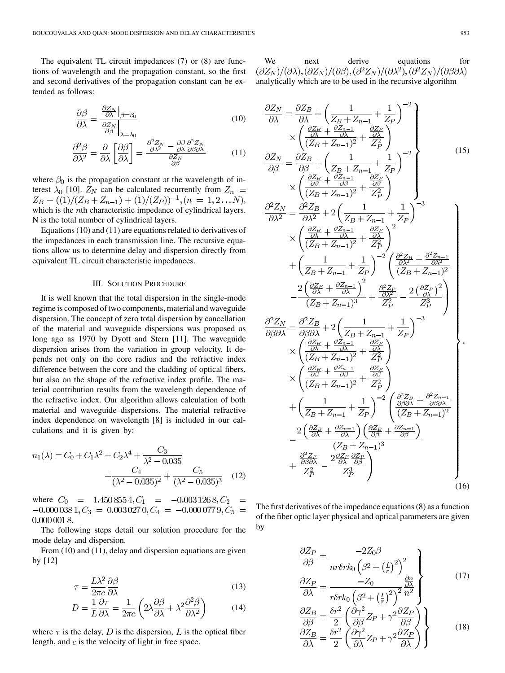The equivalent TL circuit impedances (7) or (8) are functions of wavelength and the propagation constant, so the first and second derivatives of the propagation constant can be extended as follows:

$$
\frac{\partial \beta}{\partial \lambda} = \frac{\frac{\partial Z_N}{\partial \lambda} \big|_{\beta = \beta_0}}{\frac{\partial Z_N}{\partial \beta} \big|_{\lambda = \lambda_0}}
$$
(10)

$$
\frac{\partial^2 \beta}{\partial \lambda^2} = \frac{\partial}{\partial \lambda} \left[ \frac{\partial \beta}{\partial \lambda} \right] = \frac{\frac{\partial^2 Z_N}{\partial \lambda^2} - \frac{\partial \beta}{\partial \lambda} \frac{\partial^2 Z_N}{\partial \beta \partial \lambda}}{\frac{\partial Z_N}{\partial \beta}} \tag{11}
$$

where  $\beta_0$  is the propagation constant at the wavelength of interest  $\lambda_0$  [[10\]](#page-6-0).  $Z_N$  can be calculated recurrently from  $Z_n =$  $Z_B + ((1)/(Z_B + Z_{n-1}) + (1)/(Z_P))^{-1}, (n = 1, 2...N),$ which is the  $n$ th characteristic impedance of cylindrical layers. N is the total number of cylindrical layers.

Equations (10) and (11) are equations related to derivatives of the impedances in each transmission line. The recursive equations allow us to determine delay and dispersion directly from equivalent TL circuit characteristic impedances.

## III. SOLUTION PROCEDURE

It is well known that the total dispersion in the single-mode regime is composed of two components, material and waveguide dispersion. The concept of zero total dispersion by cancellation of the material and waveguide dispersions was proposed as long ago as 1970 by Dyott and Stern [\[11](#page-6-0)]. The waveguide dispersion arises from the variation in group velocity. It depends not only on the core radius and the refractive index difference between the core and the cladding of optical fibers, but also on the shape of the refractive index profile. The material contribution results from the wavelength dependence of the refractive index. Our algorithm allows calculation of both material and waveguide dispersions. The material refractive index dependence on wavelength [[8\]](#page-6-0) is included in our calculations and it is given by:

$$
n_1(\lambda) = C_0 + C_1 \lambda^2 + C_2 \lambda^4 + \frac{C_3}{\lambda^2 - 0.035} + \frac{C_4}{(\lambda^2 - 0.035)^2} + \frac{C_5}{(\lambda^2 - 0.035)^3}
$$
 (12)

where  $C_0 = 1.4508554, C_1 = -0.0031268, C_2 =$  $-0.0000381, C_3 = 0.0030270, C_4 = -0.0000779, C_5 =$  $0.0000018.$ 

The following steps detail our solution procedure for the mode delay and dispersion.

From (10) and (11), delay and dispersion equations are given by [\[12](#page-6-0)]

$$
\tau = \frac{L\lambda^2}{2\pi c} \frac{\partial \beta}{\partial \lambda} \tag{13}
$$

$$
D = \frac{1}{L} \frac{\partial \tau}{\partial \lambda} = \frac{1}{2\pi c} \left( 2\lambda \frac{\partial \beta}{\partial \lambda} + \lambda^2 \frac{\partial^2 \beta}{\partial \lambda^2} \right) \tag{14}
$$

where  $\tau$  is the delay, D is the dispersion, L is the optical fiber length, and  $c$  is the velocity of light in free space.

We next derive equations for  $(\partial Z_N)/(\partial \lambda), (\partial Z_N)/(\partial \beta), (\partial^2 Z_N)/(\partial \lambda^2), (\partial^2 Z_N)/(\partial \beta \partial \lambda)$ analytically which are to be used in the recursive algorithm

$$
\frac{\partial Z_N}{\partial \lambda} = \frac{\partial Z_B}{\partial \lambda} + \left( \frac{1}{Z_B + Z_{n-1}} + \frac{1}{Z_P} \right)^{-2}
$$
\n
$$
\times \left( \frac{\frac{\partial Z_B}{\partial X} + \frac{\partial Z_{n-1}}{\partial X} + \frac{\partial Z_P}{\partial X}}{Z_P^2} \right)
$$
\n
$$
\frac{\partial Z_N}{\partial \beta} = \frac{\partial Z_B}{\partial \beta} + \left( \frac{1}{Z_B + Z_{n-1}} + \frac{1}{Z_P} \right)^{-2}
$$
\n
$$
\times \left( \frac{\frac{\partial Z_B}{\partial \beta} + \frac{\partial Z_{n-1}}{\partial X} + \frac{\partial Z_D}{\partial \beta}}{Z_P^2} \right)
$$
\n
$$
\frac{\partial^2 Z_N}{\partial \lambda^2} = \frac{\partial^2 Z_B}{\partial \lambda^2} + 2 \left( \frac{1}{Z_B + Z_{n-1}} + \frac{1}{Z_P} \right)^{-3}
$$
\n
$$
\times \left( \frac{\frac{\partial Z_B}{\partial X} + \frac{\partial Z_{n-1}}{\partial X} + \frac{\partial Z_D}{\partial \lambda}}{Z_P^2} \right)^2
$$
\n
$$
+ \left( \frac{1}{Z_B + Z_{n-1}} + \frac{1}{Z_P} \right)^{-2} \left( \frac{\frac{\partial^2 Z_B}{\partial X^2} + \frac{\partial^2 Z_{n-1}}{\partial X^2}}{(Z_B + Z_{n-1})^2} \right)^2
$$
\n
$$
- \frac{2 \left( \frac{\partial Z_B}{\partial \lambda} + \frac{\partial Z_{n-1}}{\partial X} \right)^2}{(Z_B + Z_{n-1})^3} + \frac{\frac{\partial^2 Z_P}{\partial X^2}}{Z_P^2} - \frac{2 \left( \frac{\partial Z_P}{\partial \lambda} \right)^2}{Z_P^3}
$$
\n
$$
\frac{\partial^2 Z_N}{\partial \beta \partial \lambda} = \frac{\partial^2 Z_B}{\partial \beta \partial \lambda} + 2 \left( \frac{1}{Z_B + Z_{n-1}} + \frac{1}{Z_P} \right)^{-3}
$$
\n
$$
\times \left( \frac{\frac{\partial Z_B}{\partial X} + \frac{\partial Z_{n-1}}{\partial X} + \frac{\partial Z_D}{\partial \lambda}}{Z_P^2} \right)
$$
\n
$$
+ \
$$

The first derivatives of the impedance equations (8) as a function of the fiber optic layer physical and optical parameters are given by

$$
\frac{\partial Z_P}{\partial \beta} = \frac{-2Z_0\beta}{nr \delta r k_0 \left(\beta^2 + \left(\frac{I}{r}\right)^2\right)^2}
$$
\n
$$
\frac{\partial Z_P}{\partial \lambda} = \frac{-Z_0}{r \delta r k_0 \left(\beta^2 + \left(\frac{I}{r}\right)^2\right)^2} \frac{\frac{\partial n}{\partial \lambda}}{n^2}
$$
\n
$$
\frac{\partial Z_B}{\partial \beta} = \frac{\delta r^2}{2} \left(\frac{\partial \gamma^2}{\partial \beta} Z_P + \gamma^2 \frac{\partial Z_P}{\partial \beta}\right)
$$
\n
$$
\frac{\partial Z_B}{\partial \lambda} = \frac{\delta r^2}{2} \left(\frac{\partial \gamma^2}{\partial \lambda} Z_P + \gamma^2 \frac{\partial Z_P}{\partial \lambda}\right)
$$
\n(18)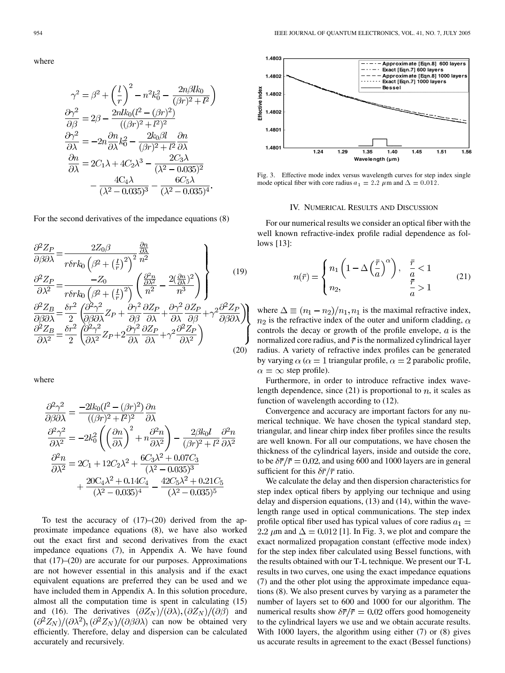where

$$
\gamma^2 = \beta^2 + \left(\frac{l}{r}\right)^2 - n^2 k_0^2 - \frac{2n\beta l k_0}{(\beta r)^2 + l^2}
$$

$$
\frac{\partial \gamma^2}{\partial \beta} = 2\beta - \frac{2nlk_0(l^2 - (\beta r)^2)}{((\beta r)^2 + l^2)^2}
$$

$$
\frac{\partial \gamma^2}{\partial \lambda} = -2n \frac{\partial n}{\partial \lambda} k_0^2 - \frac{2k_0\beta l}{(\beta r)^2 + l^2} \frac{\partial n}{\partial \lambda}
$$

$$
\frac{\partial n}{\partial \lambda} = 2C_1 \lambda + 4C_2 \lambda^3 - \frac{2C_3 \lambda}{(\lambda^2 - 0.035)^2}
$$

$$
- \frac{4C_4 \lambda}{(\lambda^2 - 0.035)^3} - \frac{6C_5 \lambda}{(\lambda^2 - 0.035)^4}.
$$

For the second derivatives of the impedance equations (8)

$$
\frac{\partial^2 Z_P}{\partial \beta \partial \lambda} = \frac{2Z_0 \beta}{r \delta r k_0 \left(\beta^2 + \left(\frac{1}{r}\right)^2\right)^2} \frac{\frac{\partial n}{\partial \lambda}}{n^2}
$$
\n
$$
\frac{\partial^2 Z_P}{\partial \lambda^2} = \frac{-Z_0}{r \delta r k_0 \left(\beta^2 + \left(\frac{1}{r}\right)^2\right)} \left(\frac{\frac{\partial^2 n}{\partial \lambda^2}}{n^2} - \frac{2\left(\frac{\partial n}{\partial \lambda}\right)^2}{n^3}\right)
$$
\n
$$
\frac{\partial^2 Z_B}{\partial \beta \partial \lambda} = \frac{\delta r^2}{2} \left(\frac{\partial^2 \gamma^2}{\partial \beta \partial \lambda} Z_P + \frac{\partial \gamma^2}{\partial \beta} \frac{\partial Z_P}{\partial \lambda} + \frac{\partial \gamma^2}{\partial \lambda} \frac{\partial Z_P}{\partial \beta} + \gamma^2 \frac{\partial^2 Z_P}{\partial \beta \partial \lambda}\right)
$$
\n
$$
\frac{\partial^2 Z_B}{\partial \lambda^2} = \frac{\delta r^2}{2} \left(\frac{\partial^2 \gamma^2}{\partial \lambda^2} Z_P + 2\frac{\partial \gamma^2}{\partial \lambda} \frac{\partial Z_P}{\partial \lambda} + \gamma^2 \frac{\partial^2 Z_P}{\partial \lambda^2}\right)
$$
\n
$$
(20)
$$

where

$$
\frac{\partial^2 \gamma^2}{\partial \beta \partial \lambda} = \frac{-2lk_0(l^2 - (\beta r)^2)}{((\beta r)^2 + l^2)^2} \frac{\partial n}{\partial \lambda}
$$

$$
\frac{\partial^2 \gamma^2}{\partial \lambda^2} = -2k_0^2 \left( \left( \frac{\partial n}{\partial \lambda} \right)^2 + n \frac{\partial^2 n}{\partial \lambda^2} \right) - \frac{2\beta k_0 l}{(\beta r)^2 + l^2} \frac{\partial^2 n}{\partial \lambda^2}
$$

$$
\frac{\partial^2 n}{\partial \lambda^2} = 2C_1 + 12C_2\lambda^2 + \frac{6C_3\lambda^2 + 0.07C_3}{(\lambda^2 - 0.035)^3}
$$

$$
+ \frac{20C_4\lambda^2 + 0.14C_4}{(\lambda^2 - 0.035)^4} - \frac{42C_5\lambda^2 + 0.21C_5}{(\lambda^2 - 0.035)^5}
$$

To test the accuracy of  $(17)$ – $(20)$  derived from the approximate impedance equations (8), we have also worked out the exact first and second derivatives from the exact impedance equations (7), in Appendix A. We have found that (17)–(20) are accurate for our purposes. Approximations are not however essential in this analysis and if the exact equivalent equations are preferred they can be used and we have included them in Appendix A. In this solution procedure, almost all the computation time is spent in calculating (15) and (16). The derivatives  $(\partial Z_N)/(\partial \lambda), (\partial Z_N)/(\partial \beta)$  and  $(\partial^2 Z_N)/(\partial \lambda^2), (\partial^2 Z_N)/(\partial \beta \partial \lambda)$  can now be obtained very efficiently. Therefore, delay and dispersion can be calculated accurately and recursively.



Fig. 3. Effective mode index versus wavelength curves for step index single mode optical fiber with core radius  $a_1 = 2.2 \mu$  m and  $\Delta = 0.012$ .

#### IV. NUMERICAL RESULTS AND DISCUSSION

For our numerical results we consider an optical fiber with the well known refractive-index profile radial dependence as follows [\[13](#page-6-0)]:

$$
n(\bar{r}) = \begin{cases} n_1 \left( 1 - \Delta \left( \frac{\bar{r}}{a} \right)^{\alpha} \right), & \frac{\bar{r}}{a} < 1\\ n_2, & \frac{\bar{r}}{a} > 1 \end{cases} \tag{21}
$$

where  $\Delta \equiv (n_1 - n_2)/n_1, n_1$  is the maximal refractive index,  $n_2$  is the refractive index of the outer and uniform cladding,  $\alpha$ controls the decay or growth of the profile envelope,  $a$  is the normalized core radius, and  $\bar{r}$  is the normalized cylindrical layer radius. A variety of refractive index profiles can be generated by varying  $\alpha$  ( $\alpha = 1$  triangular profile,  $\alpha = 2$  parabolic profile,  $\alpha = \infty$  step profile).

Furthermore, in order to introduce refractive index wavelength dependence, since  $(21)$  is proportional to n, it scales as function of wavelength according to (12).

Convergence and accuracy are important factors for any numerical technique. We have chosen the typical standard step, triangular, and linear chirp index fiber profiles since the results are well known. For all our computations, we have chosen the thickness of the cylindrical layers, inside and outside the core, to be  $\delta \bar{r}/\bar{r} = 0.02$ , and using 600 and 1000 layers are in general sufficient for this  $\delta \bar{r}/\bar{r}$  ratio.

We calculate the delay and then dispersion characteristics for step index optical fibers by applying our technique and using delay and dispersion equations, (13) and (14), within the wavelength range used in optical communications. The step index profile optical fiber used has typical values of core radius  $a_1 =$ 2.2  $\mu$ m and  $\Delta = 0.012$  [\[1](#page-6-0)]. In Fig. 3, we plot and compare the exact normalized propagation constant (effective mode index) for the step index fiber calculated using Bessel functions, with the results obtained with our T-L technique. We present our T-L results in two curves, one using the exact impedance equations (7) and the other plot using the approximate impedance equations (8). We also present curves by varying as a parameter the number of layers set to 600 and 1000 for our algorithm. The numerical results show  $\delta \bar{r}/\bar{r} = 0.02$  offers good homogeneity to the cylindrical layers we use and we obtain accurate results. With 1000 layers, the algorithm using either (7) or (8) gives us accurate results in agreement to the exact (Bessel functions)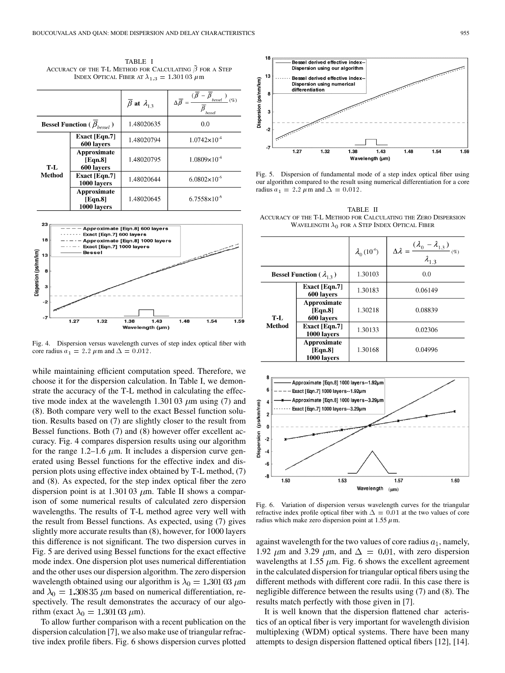TABLE I ACCURACY OF THE T-L METHOD FOR CALCULATING  $\bar{\beta}$  FOR A STEP INDEX OPTICAL FIBER AT  $\lambda_{1.3} = 1.30103 \ \mu \text{m}$ 

|                                                               |                                       | $\overline{\beta}$ at $\lambda_{13}$ | $\Delta \overline{\beta} = \frac{(\overline{\beta} - \overline{\overline{\beta}}_{bessel}}{ \overline{\beta} }$<br>(%<br>bessel |  |
|---------------------------------------------------------------|---------------------------------------|--------------------------------------|---------------------------------------------------------------------------------------------------------------------------------|--|
| <b>Bessel Function</b> ( $\overline{\beta}_{\text{bessel}}$ ) |                                       | 1.48020635                           | 0.0                                                                                                                             |  |
| T-L<br><b>Method</b>                                          | Exact [Eqn.7]<br>600 layers           | 1.48020794                           | $1.0742\times10^{-4}$                                                                                                           |  |
|                                                               | Approximate<br>[Eqn.8]<br>600 layers  | 1.48020795                           | $1.0809\times10^{-4}$                                                                                                           |  |
|                                                               | Exact [Eqn.7]<br>1000 layers          | 1.48020644                           | $6.0802\times10^{-6}$                                                                                                           |  |
|                                                               | Approximate<br>[Eqn.8]<br>1000 lavers | 1.48020645                           | $6.7558\times10^{-6}$                                                                                                           |  |



Fig. 4. Dispersion versus wavelength curves of step index optical fiber with core radius  $a_1 = 2.2 \mu$ m and  $\Delta = 0.012$ .

while maintaining efficient computation speed. Therefore, we choose it for the dispersion calculation. In Table I, we demonstrate the accuracy of the T-L method in calculating the effective mode index at the wavelength 1.301 03  $\mu$ m using (7) and (8). Both compare very well to the exact Bessel function solution. Results based on (7) are slightly closer to the result from Bessel functions. Both (7) and (8) however offer excellent accuracy. Fig. 4 compares dispersion results using our algorithm for the range 1.2–1.6  $\mu$ m. It includes a dispersion curve generated using Bessel functions for the effective index and dispersion plots using effective index obtained by T-L method, (7) and (8). As expected, for the step index optical fiber the zero dispersion point is at 1.301 03  $\mu$ m. Table II shows a comparison of some numerical results of calculated zero dispersion wavelengths. The results of T-L method agree very well with the result from Bessel functions. As expected, using (7) gives slightly more accurate results than (8), however, for 1000 layers this difference is not significant. The two dispersion curves in Fig. 5 are derived using Bessel functions for the exact effective mode index. One dispersion plot uses numerical differentiation and the other uses our dispersion algorithm. The zero dispersion wavelength obtained using our algorithm is  $\lambda_0 = 1.30103 \ \mu \text{m}$ and  $\lambda_0 = 1.30835 \mu$ m based on numerical differentiation, respectively. The result demonstrates the accuracy of our algorithm (exact  $\lambda_0 = 1.30103 \,\mu\text{m}$ ).

To allow further comparison with a recent publication on the dispersion calculation [[7\]](#page-6-0), we also make use of triangular refractive index profile fibers. Fig. 6 shows dispersion curves plotted



Fig. 5. Dispersion of fundamental mode of a step index optical fiber using our algorithm compared to the result using numerical differentiation for a core radius  $a_1 = 2.2 \mu$ m and  $\Delta = 0.012$ .

TABLE II ACCURACY OF THE T-L METHOD FOR CALCULATING THE ZERO DISPERSION WAVELENGTH  $\lambda_0$  FOR A STEP INDEX OPTICAL FIBER

|                                           |                                              | $\lambda_0(10^{-6})$ | $\Delta\lambda = \frac{(\lambda_0 - \lambda_{1,3})}{\lambda_{1,3}}$ (%) |  |
|-------------------------------------------|----------------------------------------------|----------------------|-------------------------------------------------------------------------|--|
| <b>Bessel Function</b> ( $\lambda_{13}$ ) |                                              | 1.30103              | 0.0                                                                     |  |
|                                           | Exact [Eqn.7]<br>600 layers                  | 1.30183              | 0.06149                                                                 |  |
| <b>T-L</b>                                | Approximate<br>[Eqn.8]<br>600 layers         | 1.30218              | 0.08839                                                                 |  |
| Method                                    | Exact [Eqn.7]<br>1000 layers                 | 1.30133              | 0.02306                                                                 |  |
|                                           | <b>Approximate</b><br>[Eqn.8]<br>1000 layers | 1.30168              | 0.04996                                                                 |  |



Fig. 6. Variation of dispersion versus wavelength curves for the triangular refractive index profile optical fiber with  $\Delta = 0.01$  at the two values of core radius which make zero dispersion point at 1.55  $\mu$ m.

against wavelength for the two values of core radius  $a_1$ , namely, 1.92  $\mu$ m and 3.29  $\mu$ m, and  $\Delta = 0.01$ , with zero dispersion wavelengths at 1.55  $\mu$ m. Fig. 6 shows the excellent agreement in the calculated dispersion for triangular optical fibers using the different methods with different core radii. In this case there is negligible difference between the results using (7) and (8). The results match perfectly with those given in [\[7\]](#page-6-0).

It is well known that the dispersion flattened char acteristics of an optical fiber is very important for wavelength division multiplexing (WDM) optical systems. There have been many attempts to design dispersion flattened optical fibers [[12\]](#page-6-0), [\[14](#page-6-0)].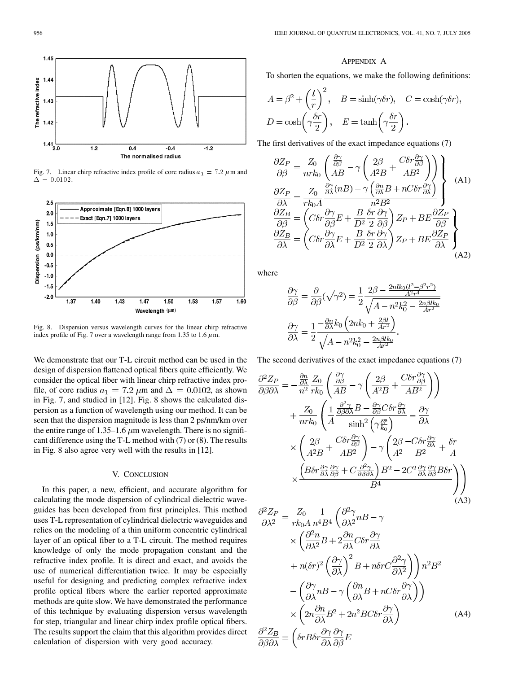

Fig. 7. Linear chirp refractive index profile of core radius  $a_1 = 7.2 \mu$ m and  $\Delta = 0.0102$ .



Fig. 8. Dispersion versus wavelength curves for the linear chirp refractive index profile of Fig. 7 over a wavelength range from 1.35 to 1.6  $\mu$ m.

We demonstrate that our T-L circuit method can be used in the design of dispersion flattened optical fibers quite efficiently. We consider the optical fiber with linear chirp refractive index profile, of core radius  $a_1 = 7.2 \mu m$  and  $\Delta = 0.0102$ , as shown in Fig. 7, and studied in [\[12](#page-6-0)]. Fig. 8 shows the calculated dispersion as a function of wavelength using our method. It can be seen that the dispersion magnitude is less than 2 ps/nm/km over the entire range of 1.35–1.6  $\mu$ m wavelength. There is no significant difference using the T-L method with (7) or (8). The results in Fig. 8 also agree very well with the results in [[12\]](#page-6-0).

# V. CONCLUSION

In this paper, a new, efficient, and accurate algorithm for calculating the mode dispersion of cylindrical dielectric waveguides has been developed from first principles. This method uses T-L representation of cylindrical dielectric waveguides and relies on the modeling of a thin uniform concentric cylindrical layer of an optical fiber to a T-L circuit. The method requires knowledge of only the mode propagation constant and the refractive index profile. It is direct and exact, and avoids the use of numerical differentiation twice. It may be especially useful for designing and predicting complex refractive index profile optical fibers where the earlier reported approximate methods are quite slow. We have demonstrated the performance of this technique by evaluating dispersion versus wavelength for step, triangular and linear chirp index profile optical fibers. The results support the claim that this algorithm provides direct calculation of dispersion with very good accuracy.

# APPENDIX A

To shorten the equations, we make the following definitions:

$$
A = \beta^2 + \left(\frac{l}{r}\right)^2, \quad B = \sinh(\gamma \delta r), \quad C = \cosh(\gamma \delta r),
$$
  

$$
D = \cosh\left(\gamma \frac{\delta r}{2}\right), \quad E = \tanh\left(\gamma \frac{\delta r}{2}\right).
$$

The first derivatives of the exact impedance equations (7)

$$
\frac{\partial Z_P}{\partial \beta} = \frac{Z_0}{nrk_0} \left( \frac{\frac{\partial \gamma}{\partial \beta}}{AB} - \gamma \left( \frac{2\beta}{A^2B} + \frac{C\delta r \frac{\partial \gamma}{\partial \beta}}{AB^2} \right) \right)
$$
\n
$$
\frac{\partial Z_P}{\partial \lambda} = \frac{Z_0}{rk_0 A} \frac{\frac{\partial \gamma}{\partial \lambda}(nB) - \gamma \left( \frac{\partial n}{\partial \lambda}B + nC\delta r \frac{\partial \gamma}{\partial \lambda} \right)}{n^2 B^2}
$$
\n
$$
\frac{\partial Z_B}{\partial \beta} = \left( C\delta r \frac{\partial \gamma}{\partial \beta} E + \frac{B}{D^2} \frac{\delta r}{2} \frac{\partial \gamma}{\partial \beta} \right) Z_P + BE \frac{\partial Z_P}{\partial \beta}
$$
\n
$$
\frac{\partial Z_B}{\partial \lambda} = \left( C\delta r \frac{\partial \gamma}{\partial \lambda} E + \frac{B}{D^2} \frac{\delta r}{2} \frac{\partial \gamma}{\partial \lambda} \right) Z_P + BE \frac{\partial Z_P}{\partial \lambda}
$$
\n(A2)

where

$$
\frac{\partial \gamma}{\partial \beta} = \frac{\partial}{\partial \beta} (\sqrt{\gamma^2}) = \frac{1}{2} \frac{2\beta - \frac{2nlk_0(l^2 - \beta^2 r^2)}{A^2 r^4}}{\sqrt{A - n^2 k_0^2 - \frac{2n \beta l k_0}{Ar^2}}}
$$

$$
\frac{\partial \gamma}{\partial \lambda} = \frac{1}{2} \frac{-\frac{\partial n}{\partial \lambda} k_0 \left(2nk_0 + \frac{2\beta l}{Ar^2}\right)}{\sqrt{A - n^2 k_0^2 - \frac{2n \beta l k_0}{Ar^2}}}.
$$

The second derivatives of the exact impedance equations (7)

$$
\frac{\partial^2 Z_P}{\partial \beta \partial \lambda} = -\frac{\frac{\partial n}{\partial \lambda}}{n^2} \frac{Z_0}{rk_0} \left( \frac{\frac{\partial \gamma}{\partial \beta}}{AB} - \gamma \left( \frac{2\beta}{A^2B} + \frac{C\delta r \frac{\partial \gamma}{\partial \beta}}{AB^2} \right) \right)
$$
  
+ 
$$
\frac{Z_0}{nrk_0} \left( \frac{1}{A} \frac{\frac{\partial^2 \gamma}{\partial \beta \partial \lambda} B - \frac{\partial \gamma}{\partial \beta} C \delta r \frac{\partial \gamma}{\partial \lambda}}{\sinh^2 \left( \gamma \frac{\delta r}{k_0} \right)} - \frac{\partial \gamma}{\partial \lambda}
$$
  

$$
\times \left( \frac{2\beta}{A^2B} + \frac{C\delta r \frac{\partial \gamma}{\partial \beta}}{AB^2} \right) - \gamma \left( \frac{2\beta}{A^2} \frac{-C\delta r \frac{\partial \gamma}{\partial \lambda}}{B^2} + \frac{\delta r}{A}
$$
  

$$
\times \frac{\left( B\delta r \frac{\partial \gamma}{\partial \lambda} \frac{\partial \gamma}{\partial \beta} + C \frac{\partial^2 \gamma}{\partial \beta \partial \lambda} \right) B^2 - 2C^2 \frac{\partial \gamma}{\partial \lambda} \frac{\partial \gamma}{\partial \beta} B \delta r}{B^4} \right) \right)
$$
(A3)

$$
\frac{\partial^2 Z_P}{\partial \lambda^2} = \frac{Z_0}{rk_0 A} \frac{1}{n^4 B^4} \left( \frac{\partial^2 \gamma}{\partial \lambda^2} n B - \gamma \right)
$$
  
\n
$$
\times \left( \frac{\partial^2 n}{\partial \lambda^2} B + 2 \frac{\partial n}{\partial \lambda} C \delta r \frac{\partial \gamma}{\partial \lambda} \right)
$$
  
\n
$$
+ n(\delta r)^2 \left( \frac{\partial \gamma}{\partial \lambda} \right)^2 B + n \delta r C \frac{\partial^2 \gamma}{\partial \lambda^2} \right) n^2 B^2
$$
  
\n
$$
- \left( \frac{\partial \gamma}{\partial \lambda} n B - \gamma \left( \frac{\partial n}{\partial \lambda} B + n C \delta r \frac{\partial \gamma}{\partial \lambda} \right) \right)
$$
  
\n
$$
\times \left( 2n \frac{\partial n}{\partial \lambda} B^2 + 2n^2 B C \delta r \frac{\partial \gamma}{\partial \lambda} \right)
$$
  
\n
$$
\frac{\partial^2 Z_B}{\partial \beta \partial \lambda} = \left( \delta r B \delta r \frac{\partial \gamma}{\partial \lambda} \frac{\partial \gamma}{\partial \beta} E \right)
$$
 (A4)